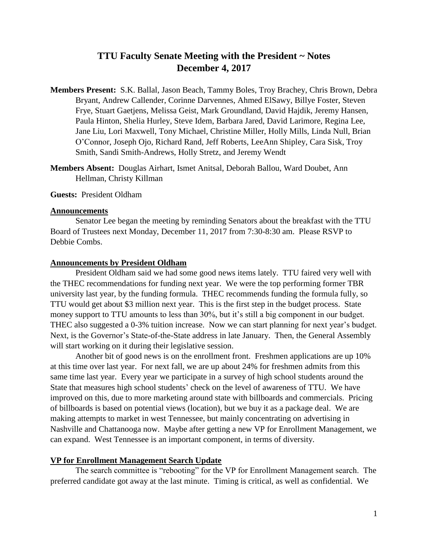# **TTU Faculty Senate Meeting with the President ~ Notes December 4, 2017**

- **Members Present:** S.K. Ballal, Jason Beach, Tammy Boles, Troy Brachey, Chris Brown, Debra Bryant, Andrew Callender, Corinne Darvennes, Ahmed ElSawy, Billye Foster, Steven Frye, Stuart Gaetjens, Melissa Geist, Mark Groundland, David Hajdik, Jeremy Hansen, Paula Hinton, Shelia Hurley, Steve Idem, Barbara Jared, David Larimore, Regina Lee, Jane Liu, Lori Maxwell, Tony Michael, Christine Miller, Holly Mills, Linda Null, Brian O'Connor, Joseph Ojo, Richard Rand, Jeff Roberts, LeeAnn Shipley, Cara Sisk, Troy Smith, Sandi Smith-Andrews, Holly Stretz, and Jeremy Wendt
- **Members Absent:** Douglas Airhart, Ismet Anitsal, Deborah Ballou, Ward Doubet, Ann Hellman, Christy Killman

**Guests:** President Oldham

# **Announcements**

Senator Lee began the meeting by reminding Senators about the breakfast with the TTU Board of Trustees next Monday, December 11, 2017 from 7:30-8:30 am. Please RSVP to Debbie Combs.

### **Announcements by President Oldham**

President Oldham said we had some good news items lately. TTU faired very well with the THEC recommendations for funding next year. We were the top performing former TBR university last year, by the funding formula. THEC recommends funding the formula fully, so TTU would get about \$3 million next year. This is the first step in the budget process. State money support to TTU amounts to less than 30%, but it's still a big component in our budget. THEC also suggested a 0-3% tuition increase. Now we can start planning for next year's budget. Next, is the Governor's State-of-the-State address in late January. Then, the General Assembly will start working on it during their legislative session.

Another bit of good news is on the enrollment front. Freshmen applications are up 10% at this time over last year. For next fall, we are up about 24% for freshmen admits from this same time last year. Every year we participate in a survey of high school students around the State that measures high school students' check on the level of awareness of TTU. We have improved on this, due to more marketing around state with billboards and commercials. Pricing of billboards is based on potential views (location), but we buy it as a package deal. We are making attempts to market in west Tennessee, but mainly concentrating on advertising in Nashville and Chattanooga now. Maybe after getting a new VP for Enrollment Management, we can expand. West Tennessee is an important component, in terms of diversity.

### **VP for Enrollment Management Search Update**

The search committee is "rebooting" for the VP for Enrollment Management search. The preferred candidate got away at the last minute. Timing is critical, as well as confidential. We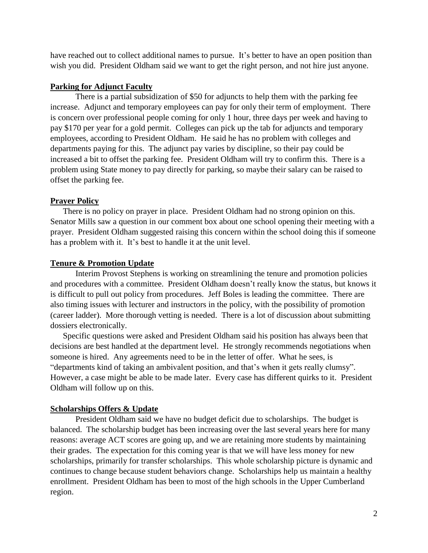have reached out to collect additional names to pursue. It's better to have an open position than wish you did. President Oldham said we want to get the right person, and not hire just anyone.

# **Parking for Adjunct Faculty**

There is a partial subsidization of \$50 for adjuncts to help them with the parking fee increase. Adjunct and temporary employees can pay for only their term of employment. There is concern over professional people coming for only 1 hour, three days per week and having to pay \$170 per year for a gold permit. Colleges can pick up the tab for adjuncts and temporary employees, according to President Oldham. He said he has no problem with colleges and departments paying for this. The adjunct pay varies by discipline, so their pay could be increased a bit to offset the parking fee. President Oldham will try to confirm this. There is a problem using State money to pay directly for parking, so maybe their salary can be raised to offset the parking fee.

# **Prayer Policy**

There is no policy on prayer in place. President Oldham had no strong opinion on this. Senator Mills saw a question in our comment box about one school opening their meeting with a prayer. President Oldham suggested raising this concern within the school doing this if someone has a problem with it. It's best to handle it at the unit level.

# **Tenure & Promotion Update**

Interim Provost Stephens is working on streamlining the tenure and promotion policies and procedures with a committee. President Oldham doesn't really know the status, but knows it is difficult to pull out policy from procedures. Jeff Boles is leading the committee. There are also timing issues with lecturer and instructors in the policy, with the possibility of promotion (career ladder). More thorough vetting is needed. There is a lot of discussion about submitting dossiers electronically.

Specific questions were asked and President Oldham said his position has always been that decisions are best handled at the department level. He strongly recommends negotiations when someone is hired. Any agreements need to be in the letter of offer. What he sees, is "departments kind of taking an ambivalent position, and that's when it gets really clumsy". However, a case might be able to be made later. Every case has different quirks to it. President Oldham will follow up on this.

## **Scholarships Offers & Update**

President Oldham said we have no budget deficit due to scholarships. The budget is balanced. The scholarship budget has been increasing over the last several years here for many reasons: average ACT scores are going up, and we are retaining more students by maintaining their grades. The expectation for this coming year is that we will have less money for new scholarships, primarily for transfer scholarships. This whole scholarship picture is dynamic and continues to change because student behaviors change. Scholarships help us maintain a healthy enrollment. President Oldham has been to most of the high schools in the Upper Cumberland region.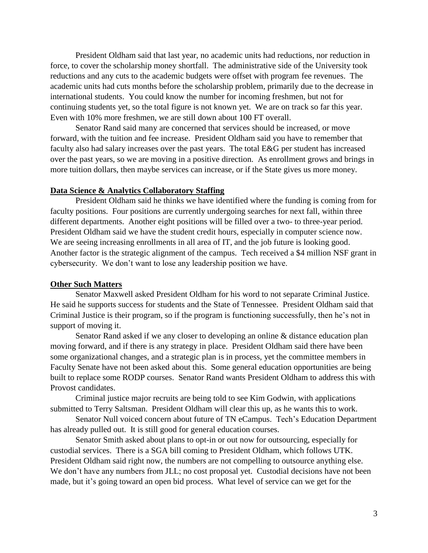President Oldham said that last year, no academic units had reductions, nor reduction in force, to cover the scholarship money shortfall. The administrative side of the University took reductions and any cuts to the academic budgets were offset with program fee revenues. The academic units had cuts months before the scholarship problem, primarily due to the decrease in international students. You could know the number for incoming freshmen, but not for continuing students yet, so the total figure is not known yet. We are on track so far this year. Even with 10% more freshmen, we are still down about 100 FT overall.

Senator Rand said many are concerned that services should be increased, or move forward, with the tuition and fee increase. President Oldham said you have to remember that faculty also had salary increases over the past years. The total E&G per student has increased over the past years, so we are moving in a positive direction. As enrollment grows and brings in more tuition dollars, then maybe services can increase, or if the State gives us more money.

## **Data Science & Analytics Collaboratory Staffing**

President Oldham said he thinks we have identified where the funding is coming from for faculty positions. Four positions are currently undergoing searches for next fall, within three different departments. Another eight positions will be filled over a two- to three-year period. President Oldham said we have the student credit hours, especially in computer science now. We are seeing increasing enrollments in all area of IT, and the job future is looking good. Another factor is the strategic alignment of the campus. Tech received a \$4 million NSF grant in cybersecurity. We don't want to lose any leadership position we have.

### **Other Such Matters**

Senator Maxwell asked President Oldham for his word to not separate Criminal Justice. He said he supports success for students and the State of Tennessee. President Oldham said that Criminal Justice is their program, so if the program is functioning successfully, then he's not in support of moving it.

Senator Rand asked if we any closer to developing an online & distance education plan moving forward, and if there is any strategy in place. President Oldham said there have been some organizational changes, and a strategic plan is in process, yet the committee members in Faculty Senate have not been asked about this. Some general education opportunities are being built to replace some RODP courses. Senator Rand wants President Oldham to address this with Provost candidates.

Criminal justice major recruits are being told to see Kim Godwin, with applications submitted to Terry Saltsman. President Oldham will clear this up, as he wants this to work.

Senator Null voiced concern about future of TN eCampus. Tech's Education Department has already pulled out. It is still good for general education courses.

Senator Smith asked about plans to opt-in or out now for outsourcing, especially for custodial services. There is a SGA bill coming to President Oldham, which follows UTK. President Oldham said right now, the numbers are not compelling to outsource anything else. We don't have any numbers from JLL; no cost proposal yet. Custodial decisions have not been made, but it's going toward an open bid process. What level of service can we get for the